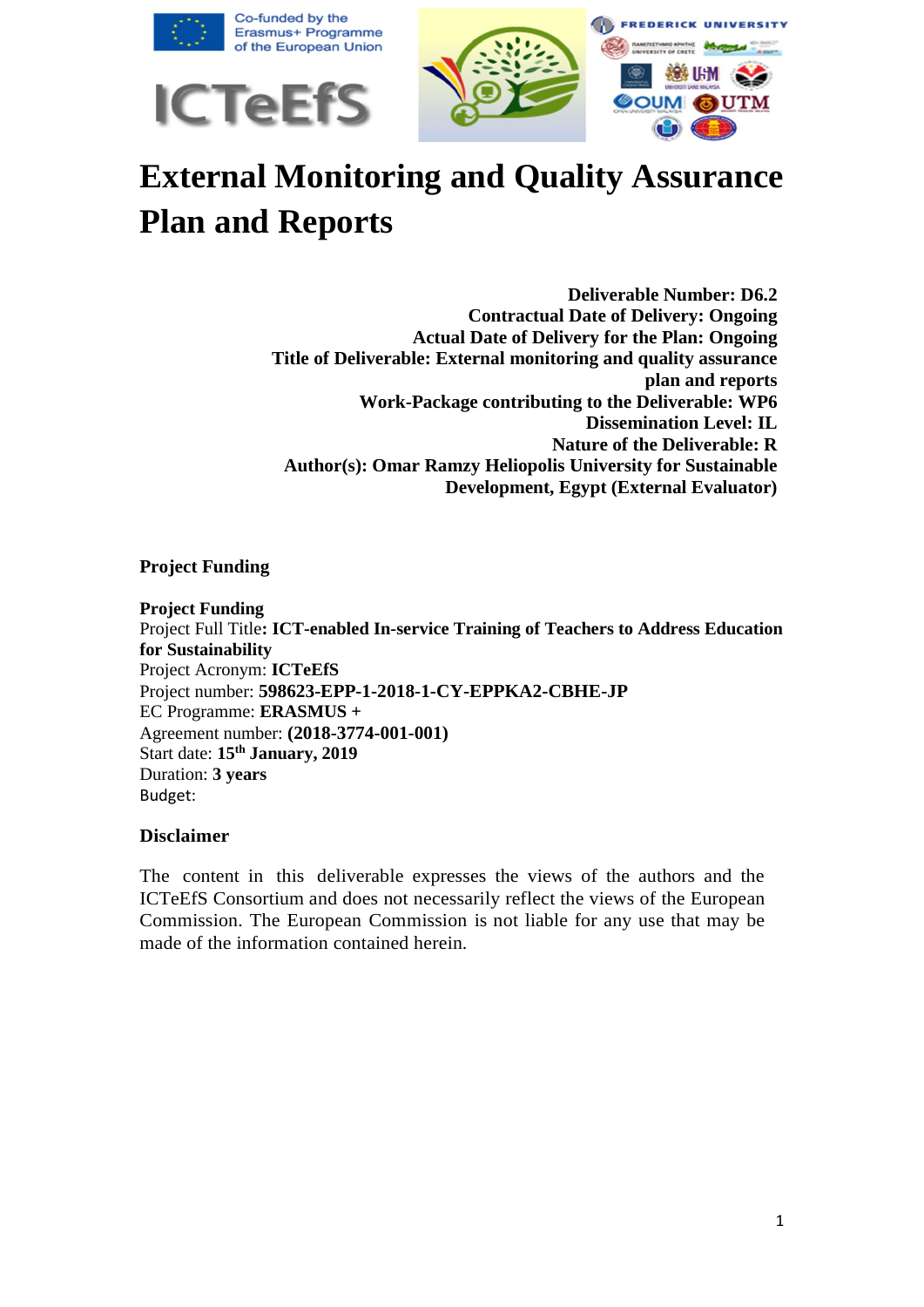

# **External Monitoring and Quality Assurance Plan and Reports**

**Deliverable Number: D6.2 Contractual Date of Delivery: Ongoing Actual Date of Delivery for the Plan: Ongoing Title of Deliverable: External monitoring and quality assurance plan and reports Work-Package contributing to the Deliverable: WP6 Dissemination Level: IL Nature of the Deliverable: R Author(s): Omar Ramzy Heliopolis University for Sustainable Development, Egypt (External Evaluator)**

#### **Project Funding**

**Project Funding**  Project Full Title**: ICT-enabled In-service Training of Teachers to Address Education for Sustainability** Project Acronym: **ICTeEfS** Project number: **598623-EPP-1-2018-1-CY-EPPKA2-CBHE-JP** EC Programme: **ERASMUS +** Agreement number: **(2018-3774-001-001)** Start date: **15th January, 2019**  Duration: **3 years**  Budget:

#### **Disclaimer**

The content in this deliverable expresses the views of the authors and the ICTeEfS Consortium and does not necessarily reflect the views of the European Commission. The European Commission is not liable for any use that may be made of the information contained herein.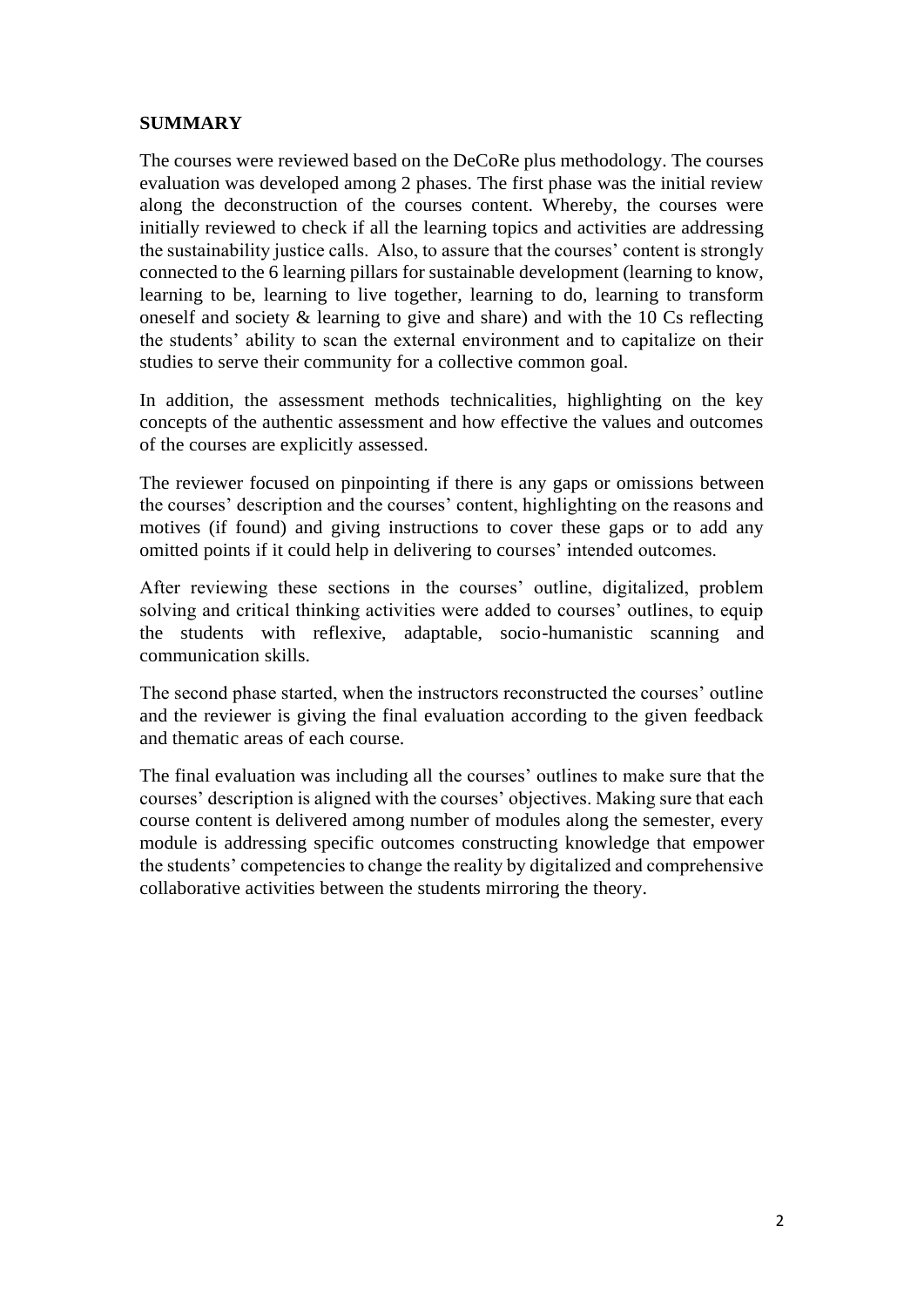#### **SUMMARY**

The courses were reviewed based on the DeCoRe plus methodology. The courses evaluation was developed among 2 phases. The first phase was the initial review along the deconstruction of the courses content. Whereby, the courses were initially reviewed to check if all the learning topics and activities are addressing the sustainability justice calls. Also, to assure that the courses' content is strongly connected to the 6 learning pillars for sustainable development (learning to know, learning to be, learning to live together, learning to do, learning to transform oneself and society & learning to give and share) and with the 10 Cs reflecting the students' ability to scan the external environment and to capitalize on their studies to serve their community for a collective common goal.

In addition, the assessment methods technicalities, highlighting on the key concepts of the authentic assessment and how effective the values and outcomes of the courses are explicitly assessed.

The reviewer focused on pinpointing if there is any gaps or omissions between the courses' description and the courses' content, highlighting on the reasons and motives (if found) and giving instructions to cover these gaps or to add any omitted points if it could help in delivering to courses' intended outcomes.

After reviewing these sections in the courses' outline, digitalized, problem solving and critical thinking activities were added to courses' outlines, to equip the students with reflexive, adaptable, socio-humanistic scanning and communication skills.

The second phase started, when the instructors reconstructed the courses' outline and the reviewer is giving the final evaluation according to the given feedback and thematic areas of each course.

The final evaluation was including all the courses' outlines to make sure that the courses' description is aligned with the courses' objectives. Making sure that each course content is delivered among number of modules along the semester, every module is addressing specific outcomes constructing knowledge that empower the students' competencies to change the reality by digitalized and comprehensive collaborative activities between the students mirroring the theory.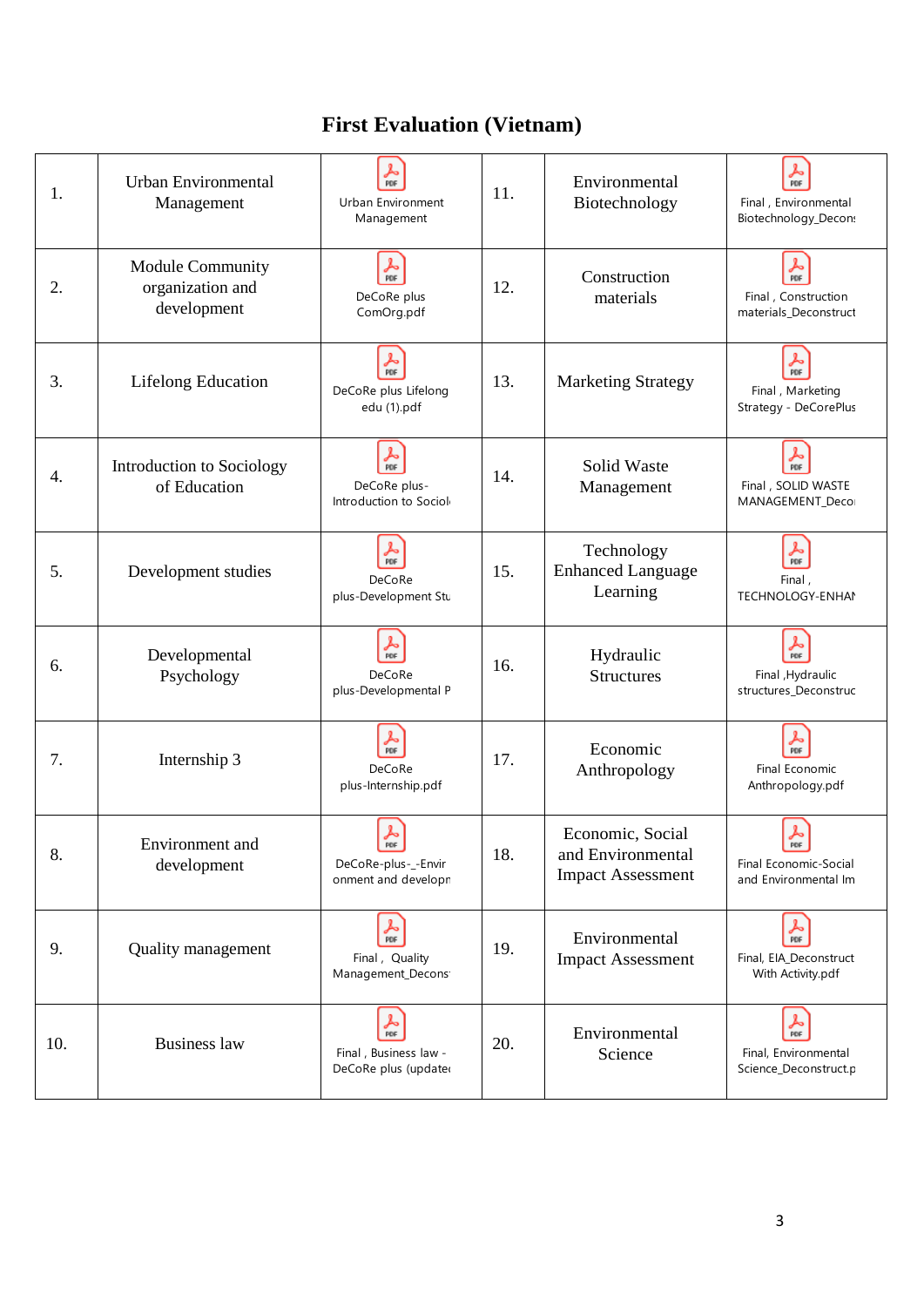### **First Evaluation (Vietnam)**

| $\frac{1}{\text{POF}}$<br>$\frac{1}{\rho_{\rm DF}}$<br>Urban Environmental<br>Environmental<br>11.<br>1.<br>Urban Environment<br>Biotechnology<br>Final, Environmental<br>Management<br>Biotechnology_Decon:<br>Management<br>$\frac{1}{PDF}$<br>$\frac{1}{\rho_{\text{DF}}}$<br>Module Community<br>Construction<br>2.<br>organization and<br>12.<br>DeCoRe plus<br>Final, Construction<br>materials<br>development<br>ComOrg.pdf<br>materials_Deconstruct<br>$\frac{1}{\text{PDF}}$<br>$\frac{1}{PDF}$<br>3.<br><b>Lifelong Education</b><br>13.<br><b>Marketing Strategy</b><br>DeCoRe plus Lifelong<br>Final, Marketing<br>Strategy - DeCorePlus<br>edu (1).pdf<br>$\frac{1}{\rho_{\text{DF}}}$<br>$\frac{1}{\text{PDF}}$<br>Solid Waste<br>Introduction to Sociology<br>4.<br>14.<br>Final, SOLID WASTE<br>DeCoRe plus-<br>of Education<br>Management<br>Introduction to Sociol<br>MANAGEMENT_Deco<br>$\frac{1}{\rho_{\text{DF}}}$<br>$\frac{1}{PDF}$<br>Technology<br>15.<br><b>Enhanced Language</b><br>5.<br>Development studies<br>DeCoRe<br>Final,<br>Learning<br>plus-Development Stu<br>TECHNOLOGY-ENHAM<br>$\frac{1}{PDF}$<br>$\frac{1}{\pi}$<br>Developmental<br>Hydraulic<br>16.<br>6.<br>DeCoRe<br>Psychology<br><b>Structures</b><br>Final , Hydraulic<br>plus-Developmental P<br>structures_Deconstruc<br>$\frac{1}{\text{PDF}}$<br>$\frac{1}{\text{PDF}}$<br>Economic<br>7.<br>Internship 3<br>17.<br>DeCoRe<br>Final Economic<br>Anthropology<br>plus-Internship.pdf<br>Anthropology.pdf<br>$\blacktriangleright$<br>$\frac{\lambda}{\text{pof}}$<br>Economic, Social<br>Environment and<br>PDF<br>18.<br>and Environmental<br>8.<br>DeCoRe-plus-_-Envir<br>Final Economic-Social<br>development<br><b>Impact Assessment</b><br>onment and developn<br>and Environmental Im<br>$rac{1}{\text{PDF}}$<br>$\frac{1}{\rho_{DF}}$<br>Environmental<br>19.<br>9.<br><b>Quality management</b><br>Final, Quality<br>Final, EIA_Deconstruct<br><b>Impact Assessment</b><br>Management_Decons <sup>®</sup><br>With Activity.pdf<br>$\frac{1}{\text{p}_{\text{DF}}}$<br>$\frac{1}{\text{PDF}}$<br>Environmental<br>10.<br><b>Business law</b><br>20.<br>Final, Business law -<br>Science<br>Final, Environmental<br>DeCoRe plus (updated<br>Science_Deconstruct.p |  |  |  |  |
|-----------------------------------------------------------------------------------------------------------------------------------------------------------------------------------------------------------------------------------------------------------------------------------------------------------------------------------------------------------------------------------------------------------------------------------------------------------------------------------------------------------------------------------------------------------------------------------------------------------------------------------------------------------------------------------------------------------------------------------------------------------------------------------------------------------------------------------------------------------------------------------------------------------------------------------------------------------------------------------------------------------------------------------------------------------------------------------------------------------------------------------------------------------------------------------------------------------------------------------------------------------------------------------------------------------------------------------------------------------------------------------------------------------------------------------------------------------------------------------------------------------------------------------------------------------------------------------------------------------------------------------------------------------------------------------------------------------------------------------------------------------------------------------------------------------------------------------------------------------------------------------------------------------------------------------------------------------------------------------------------------------------------------------------------------------------------------------------------------------------------------------------------------------------------------------------------------------------------------------------------------------------------------|--|--|--|--|
|                                                                                                                                                                                                                                                                                                                                                                                                                                                                                                                                                                                                                                                                                                                                                                                                                                                                                                                                                                                                                                                                                                                                                                                                                                                                                                                                                                                                                                                                                                                                                                                                                                                                                                                                                                                                                                                                                                                                                                                                                                                                                                                                                                                                                                                                             |  |  |  |  |
|                                                                                                                                                                                                                                                                                                                                                                                                                                                                                                                                                                                                                                                                                                                                                                                                                                                                                                                                                                                                                                                                                                                                                                                                                                                                                                                                                                                                                                                                                                                                                                                                                                                                                                                                                                                                                                                                                                                                                                                                                                                                                                                                                                                                                                                                             |  |  |  |  |
|                                                                                                                                                                                                                                                                                                                                                                                                                                                                                                                                                                                                                                                                                                                                                                                                                                                                                                                                                                                                                                                                                                                                                                                                                                                                                                                                                                                                                                                                                                                                                                                                                                                                                                                                                                                                                                                                                                                                                                                                                                                                                                                                                                                                                                                                             |  |  |  |  |
|                                                                                                                                                                                                                                                                                                                                                                                                                                                                                                                                                                                                                                                                                                                                                                                                                                                                                                                                                                                                                                                                                                                                                                                                                                                                                                                                                                                                                                                                                                                                                                                                                                                                                                                                                                                                                                                                                                                                                                                                                                                                                                                                                                                                                                                                             |  |  |  |  |
|                                                                                                                                                                                                                                                                                                                                                                                                                                                                                                                                                                                                                                                                                                                                                                                                                                                                                                                                                                                                                                                                                                                                                                                                                                                                                                                                                                                                                                                                                                                                                                                                                                                                                                                                                                                                                                                                                                                                                                                                                                                                                                                                                                                                                                                                             |  |  |  |  |
|                                                                                                                                                                                                                                                                                                                                                                                                                                                                                                                                                                                                                                                                                                                                                                                                                                                                                                                                                                                                                                                                                                                                                                                                                                                                                                                                                                                                                                                                                                                                                                                                                                                                                                                                                                                                                                                                                                                                                                                                                                                                                                                                                                                                                                                                             |  |  |  |  |
|                                                                                                                                                                                                                                                                                                                                                                                                                                                                                                                                                                                                                                                                                                                                                                                                                                                                                                                                                                                                                                                                                                                                                                                                                                                                                                                                                                                                                                                                                                                                                                                                                                                                                                                                                                                                                                                                                                                                                                                                                                                                                                                                                                                                                                                                             |  |  |  |  |
|                                                                                                                                                                                                                                                                                                                                                                                                                                                                                                                                                                                                                                                                                                                                                                                                                                                                                                                                                                                                                                                                                                                                                                                                                                                                                                                                                                                                                                                                                                                                                                                                                                                                                                                                                                                                                                                                                                                                                                                                                                                                                                                                                                                                                                                                             |  |  |  |  |
|                                                                                                                                                                                                                                                                                                                                                                                                                                                                                                                                                                                                                                                                                                                                                                                                                                                                                                                                                                                                                                                                                                                                                                                                                                                                                                                                                                                                                                                                                                                                                                                                                                                                                                                                                                                                                                                                                                                                                                                                                                                                                                                                                                                                                                                                             |  |  |  |  |
|                                                                                                                                                                                                                                                                                                                                                                                                                                                                                                                                                                                                                                                                                                                                                                                                                                                                                                                                                                                                                                                                                                                                                                                                                                                                                                                                                                                                                                                                                                                                                                                                                                                                                                                                                                                                                                                                                                                                                                                                                                                                                                                                                                                                                                                                             |  |  |  |  |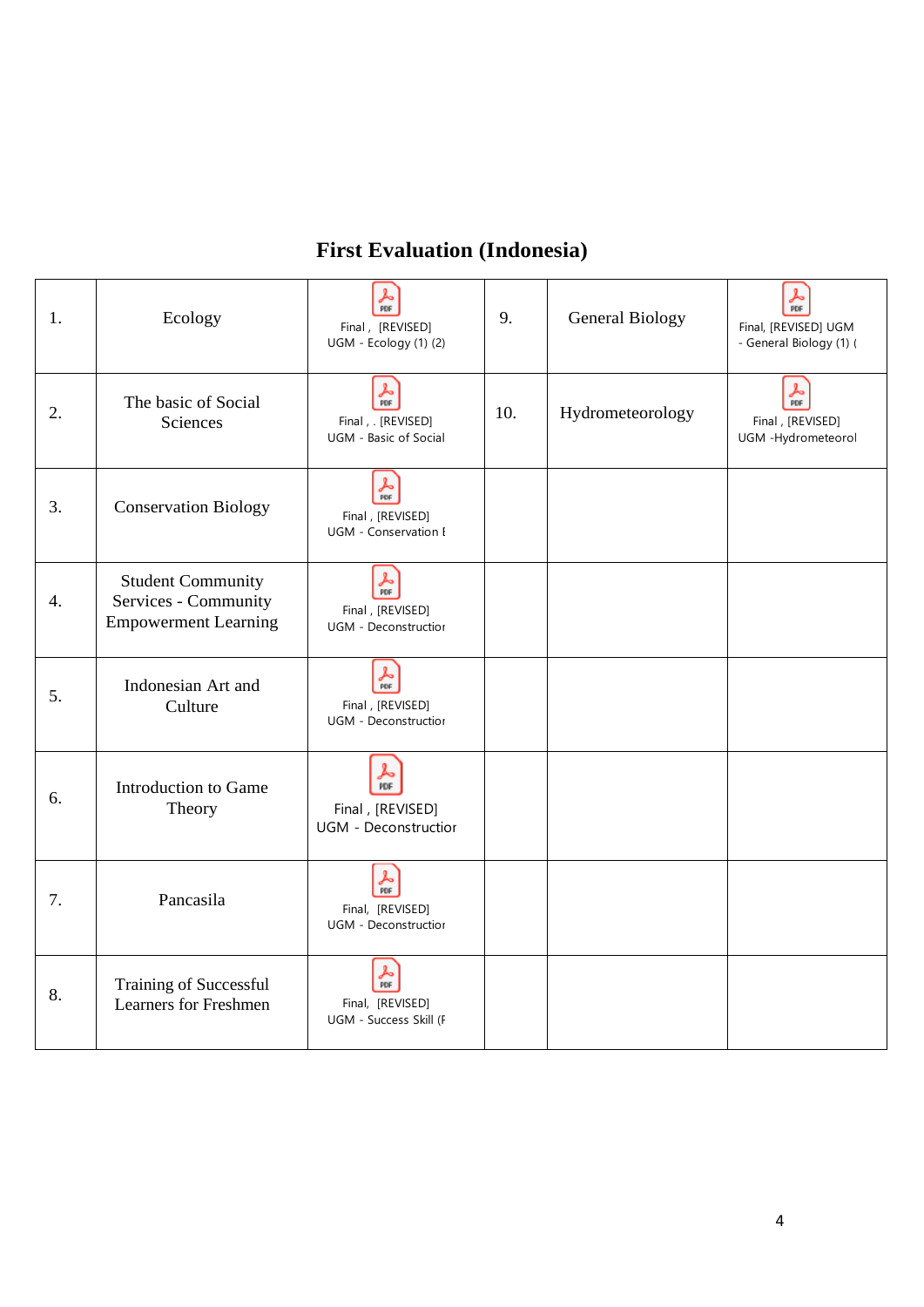#### **First Evaluation (Indonesia)**

| 1.               | Ecology                                                                         | $\frac{1}{\text{PDF}}$<br>Final, [REVISED]<br>UGM - Ecology (1) (2)             | 9.  | <b>General Biology</b> | ዾ<br>PDF<br>Final, [REVISED] UGM<br>- General Biology (1) ( |
|------------------|---------------------------------------------------------------------------------|---------------------------------------------------------------------------------|-----|------------------------|-------------------------------------------------------------|
| 2.               | The basic of Social<br>Sciences                                                 | $\frac{1}{\pi}$<br>Final, . [REVISED]<br>UGM - Basic of Social                  | 10. | Hydrometeorology       | $\frac{1}{PDF}$<br>Final, [REVISED]<br>UGM -Hydrometeorol   |
| 3.               | <b>Conservation Biology</b>                                                     | $\frac{1}{\rho_{\text{DF}}}$<br>Final, [REVISED]<br><b>UGM</b> - Conservation I |     |                        |                                                             |
| $\overline{4}$ . | <b>Student Community</b><br>Services - Community<br><b>Empowerment Learning</b> | $\frac{1}{\rho_{DF}}$<br>Final, [REVISED]<br><b>UGM</b> - Deconstructior        |     |                        |                                                             |
| 5.               | Indonesian Art and<br>Culture                                                   | $\frac{1}{\text{PDF}}$<br>Final, [REVISED]<br><b>UGM - Deconstructior</b>       |     |                        |                                                             |
| 6.               | Introduction to Game<br>Theory                                                  | ⅄<br>PDF<br>Final, [REVISED]<br><b>UGM</b> - Deconstructior                     |     |                        |                                                             |
| 7.               | Pancasila                                                                       | $\frac{1}{\rho_{\text{DF}}}$<br>Final, [REVISED]<br><b>UGM - Deconstruction</b> |     |                        |                                                             |
| 8.               | <b>Training of Successful</b><br><b>Learners for Freshmen</b>                   | $\frac{1}{\text{p}_{\text{DF}}}$<br>Final, [REVISED]<br>UGM - Success Skill (F  |     |                        |                                                             |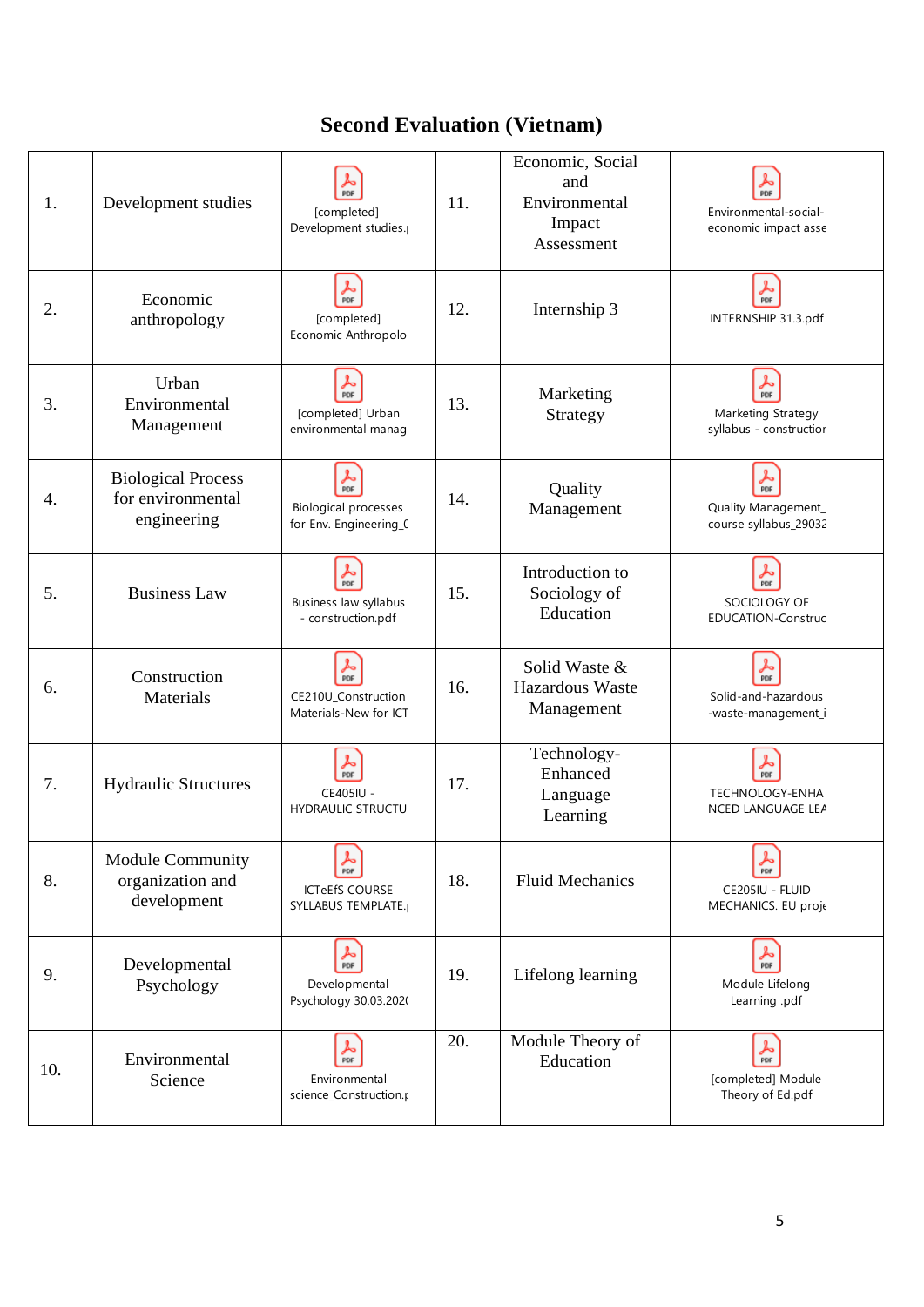### **Second Evaluation (Vietnam)**

| 1.  | Development studies                                           | PDF<br>[completed]<br>Development studies.                                      | 11. | Economic, Social<br>and<br>Environmental<br>Impact<br>Assessment | PDF<br>Environmental-social-<br>economic impact asse                    |
|-----|---------------------------------------------------------------|---------------------------------------------------------------------------------|-----|------------------------------------------------------------------|-------------------------------------------------------------------------|
| 2.  | Economic<br>anthropology                                      | حكم<br>PDF<br>[completed]<br>Economic Anthropolo                                | 12. | Internship 3                                                     | $\frac{1}{\rho_{DF}}$<br>INTERNSHIP 31.3.pdf                            |
| 3.  | Urban<br>Environmental<br>Management                          | <u>ኤ</u><br>[completed] Urban<br>environmental manag                            | 13. | Marketing<br>Strategy                                            | $\frac{1}{\text{PDF}}$<br>Marketing Strategy<br>syllabus - constructior |
| 4.  | <b>Biological Process</b><br>for environmental<br>engineering | $\frac{1}{\pi}$<br><b>Biological processes</b><br>for Env. Engineering_(        | 14. | Quality<br>Management                                            | $\frac{1}{\pi}$<br>Quality Management_<br>course syllabus_29032         |
| 5.  | <b>Business Law</b>                                           | $\frac{1}{\text{p}_{\text{DF}}}$<br>Business law syllabus<br>- construction.pdf | 15. | Introduction to<br>Sociology of<br>Education                     | ⅄<br>PDF<br>SOCIOLOGY OF<br><b>EDUCATION-Construc</b>                   |
| 6.  | Construction<br>Materials                                     | $\frac{2}{\pi}$<br>CE210U_Construction<br>Materials-New for ICT                 | 16. | Solid Waste &<br>Hazardous Waste<br>Management                   | $\frac{1}{\text{PDF}}$<br>Solid-and-hazardous<br>-waste-management_i    |
| 7.  | <b>Hydraulic Structures</b>                                   | S<br>PDF<br>CE405IU -<br><b>HYDRAULIC STRUCTU</b>                               | 17. | Technology-<br>Enhanced<br>Language<br>Learning                  | ⅄<br>PDF<br>TECHNOLOGY-ENHA<br>NCED LANGUAGE LEA                        |
| 8.  | <b>Module Community</b><br>organization and<br>development    | PDF<br><b>ICTeEfS COURSE</b><br><b>SYLLABUS TEMPLATE.</b>                       | 18. | <b>Fluid Mechanics</b>                                           | 人旷<br>CE205IU - FLUID<br>MECHANICS. EU proje                            |
| 9.  | Developmental<br>Psychology                                   | $\frac{1}{\text{p}_{\text{DF}}}$<br>Developmental<br>Psychology 30.03.2020      | 19. | Lifelong learning                                                | $\frac{1}{\rho_{DF}}$<br>Module Lifelong<br>Learning .pdf               |
| 10. | Environmental<br>Science                                      | $\frac{1}{\text{p}_{\text{DF}}}$<br>Environmental<br>science_Construction.µ     | 20. | Module Theory of<br>Education                                    | $\frac{1}{\rho_{DF}}$<br>[completed] Module<br>Theory of Ed.pdf         |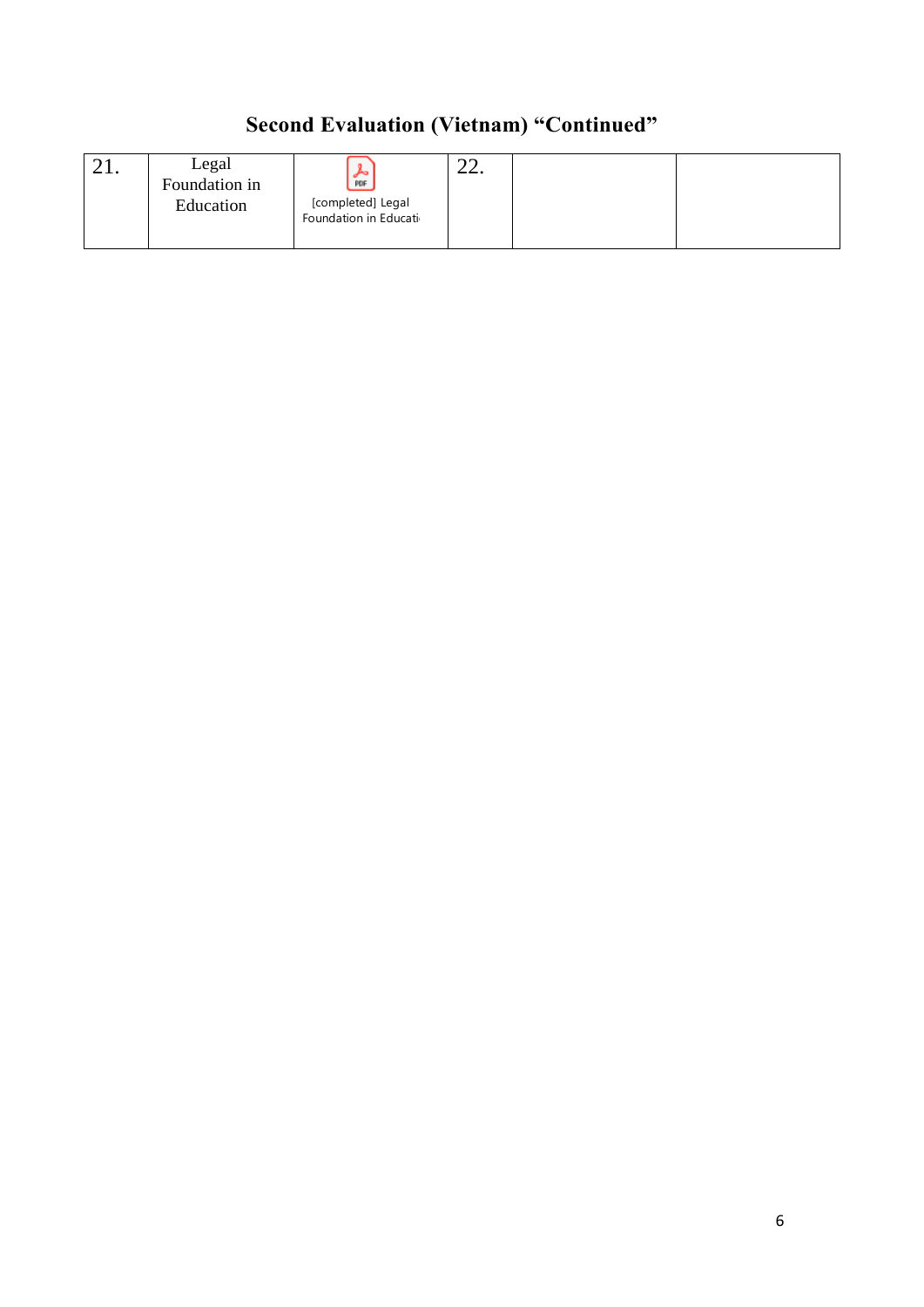## **Second Evaluation (Vietnam) "Continued"**

|--|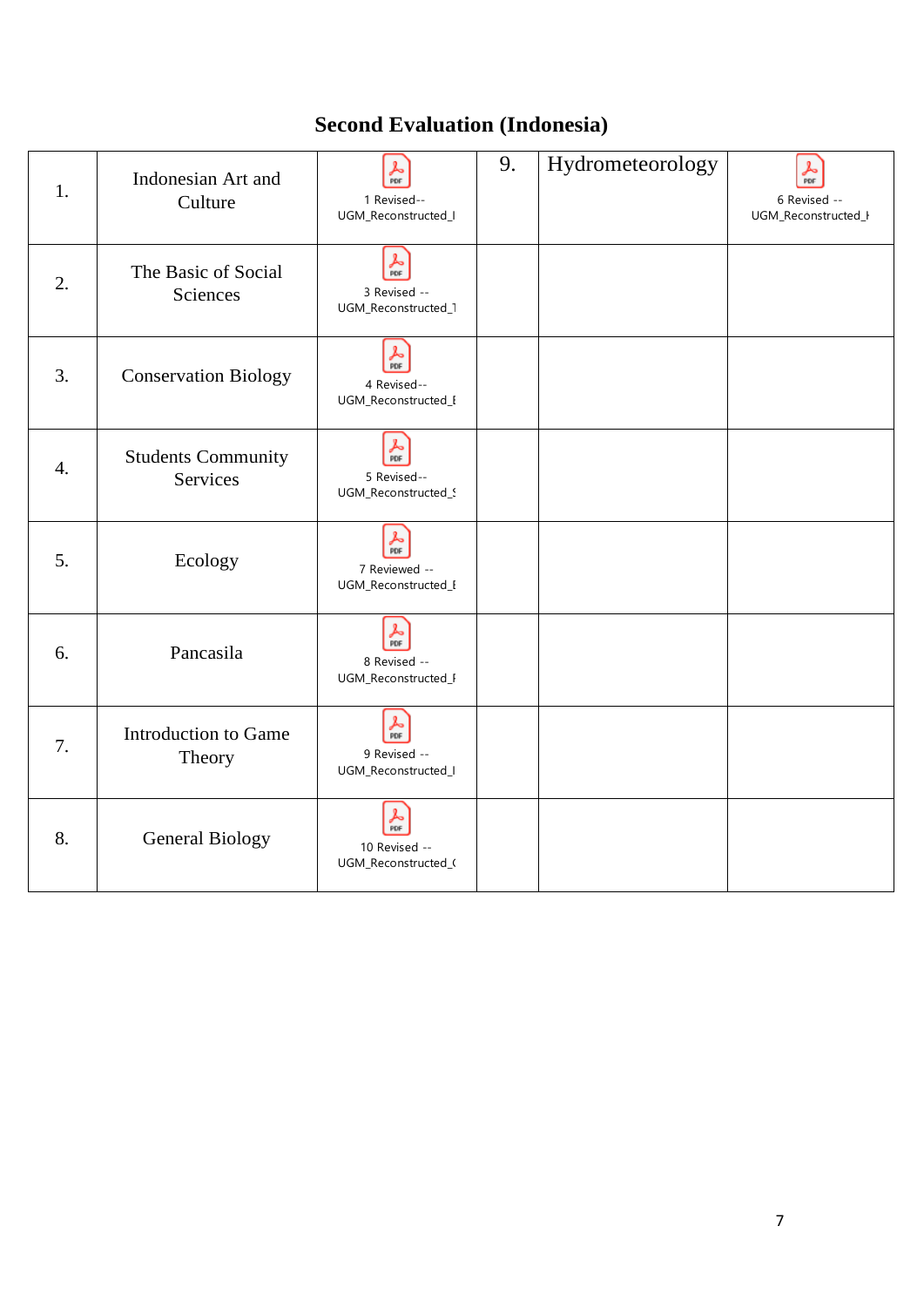### **Second Evaluation (Indonesia)**

| 1.               | Indonesian Art and<br>Culture         | $\frac{1}{PDF}$<br>1 Revised--<br>UGM_Reconstructed_I                  | 9. | Hydrometeorology | لحر<br>PDF<br>6 Revised --<br>UGM_Reconstructed_I |
|------------------|---------------------------------------|------------------------------------------------------------------------|----|------------------|---------------------------------------------------|
| 2.               | The Basic of Social<br>Sciences       | حكم<br>PDF<br>3 Revised --<br>UGM_Reconstructed_1                      |    |                  |                                                   |
| 3.               | <b>Conservation Biology</b>           | $\frac{1}{\rho_{\text{DF}}}$<br>4 Revised--<br>UGM_Reconstructed_I     |    |                  |                                                   |
| $\overline{4}$ . | <b>Students Community</b><br>Services | $\frac{1}{\text{p}_{\text{DF}}}$<br>5 Revised--<br>UGM_Reconstructed_9 |    |                  |                                                   |
| 5.               | Ecology                               | ん<br>PDF<br>7 Reviewed --<br>UGM_Reconstructed_I                       |    |                  |                                                   |
| 6.               | Pancasila                             | $\frac{1}{\rho_{\text{DF}}}$<br>8 Revised --<br>UGM_Reconstructed_F    |    |                  |                                                   |
| 7.               | <b>Introduction to Game</b><br>Theory | $\frac{1}{\rho_{DF}}$<br>9 Revised --<br>UGM_Reconstructed_I           |    |                  |                                                   |
| 8.               | General Biology                       | Ł,<br>PDF<br>10 Revised --<br>UGM_Reconstructed_0                      |    |                  |                                                   |